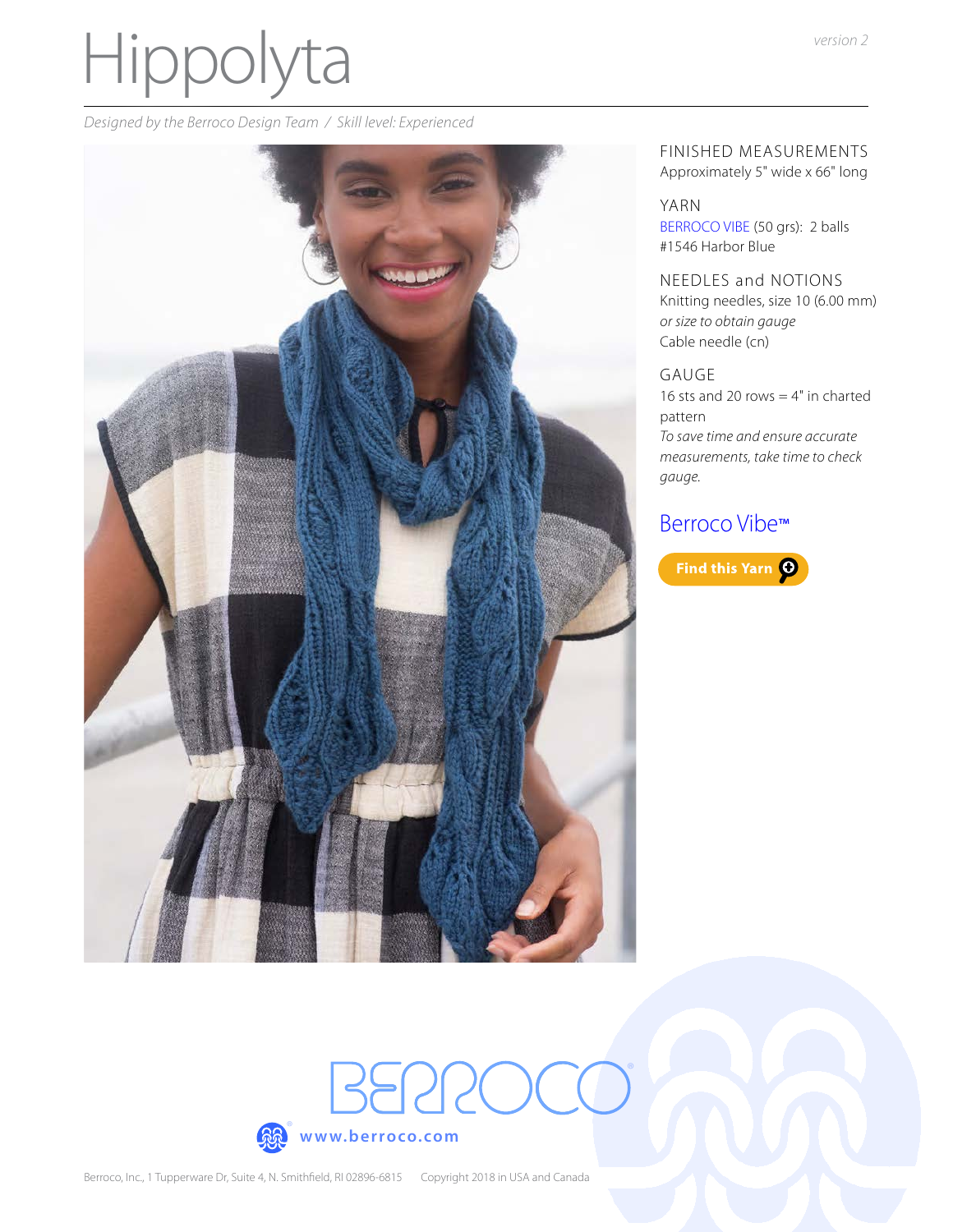# Hippolyta

*Designed by the Berroco Design Team / Skill level: Experienced*



FINISHED MEASUREMENTS Approximately 5" wide x 66" long

#### YARN

[BERROCO VIBE](http://www.berroco.com/yarns/berroco-vibe) (50 grs): 2 balls #1546 Harbor Blue

NEEDLES and NOTIONS Knitting needles, size 10 (6.00 mm) *or size to obtain gauge* Cable needle (cn)

#### GAUGE

®

16 sts and 20 rows  $=$  4" in charted pattern *To save time and ensure accurate measurements, take time to check gauge.*

## [Berroco Vibe](https://www.berroco.com/yarns/berroco-vibe)™



<u>aga</u>

® **[www.berroco.com](https://www.berroco.com)**

BERRC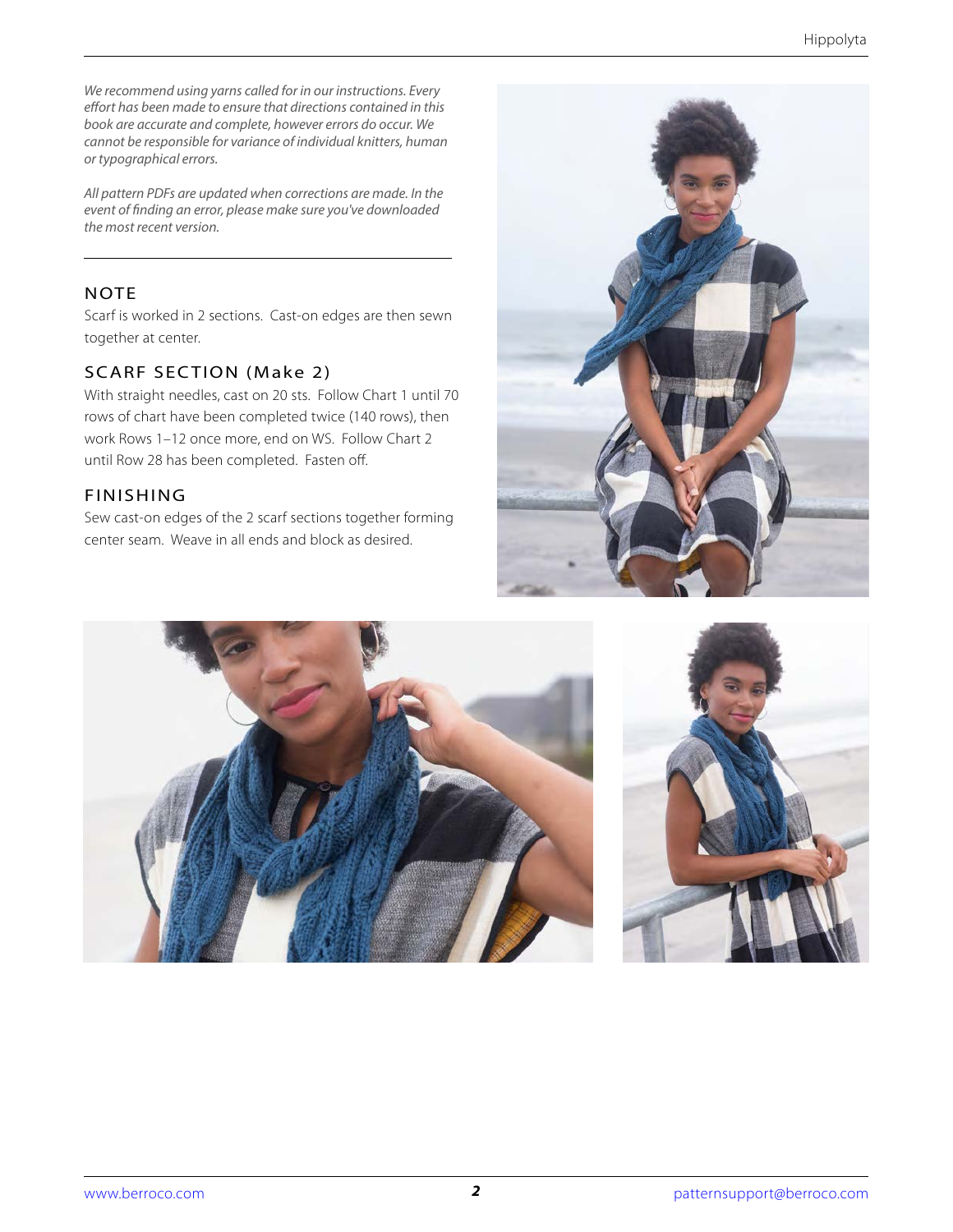*We recommend using yarns called for in our instructions. Every effort has been made to ensure that directions contained in this book are accurate and complete, however errors do occur. We cannot be responsible for variance of individual knitters, human or typographical errors.*

*All pattern PDFs are updated when corrections are made. In the event of finding an error, please make sure you've downloaded the most recent version.*

### **NOTE**

Scarf is worked in 2 sections. Cast-on edges are then sewn together at center.

## SCARF SECTION (Make 2)

With straight needles, cast on 20 sts. Follow Chart 1 until 70 rows of chart have been completed twice (140 rows), then work Rows 1–12 once more, end on WS. Follow Chart 2 until Row 28 has been completed. Fasten off.

## FINISHING

Sew cast-on edges of the 2 scarf sections together forming center seam. Weave in all ends and block as desired.





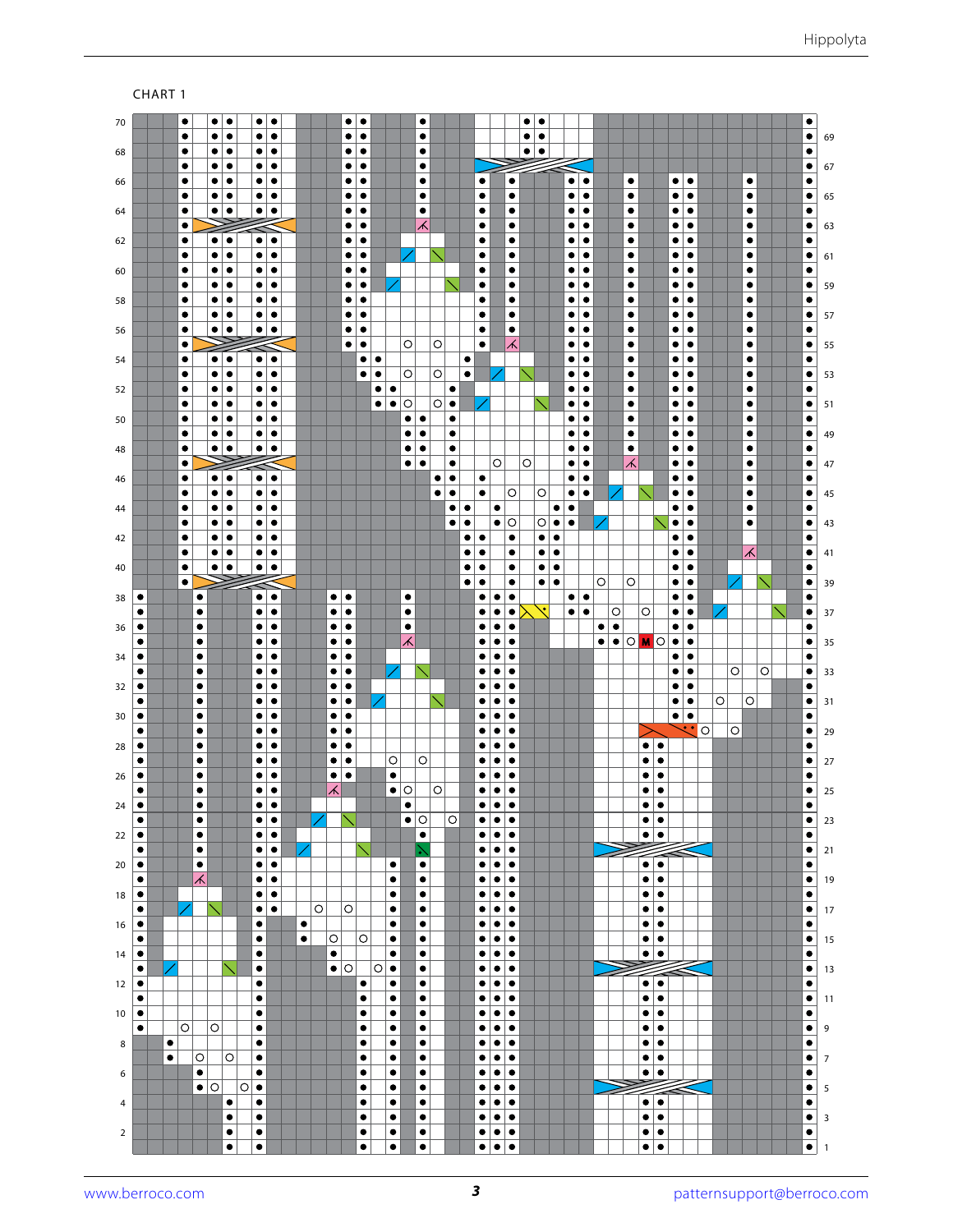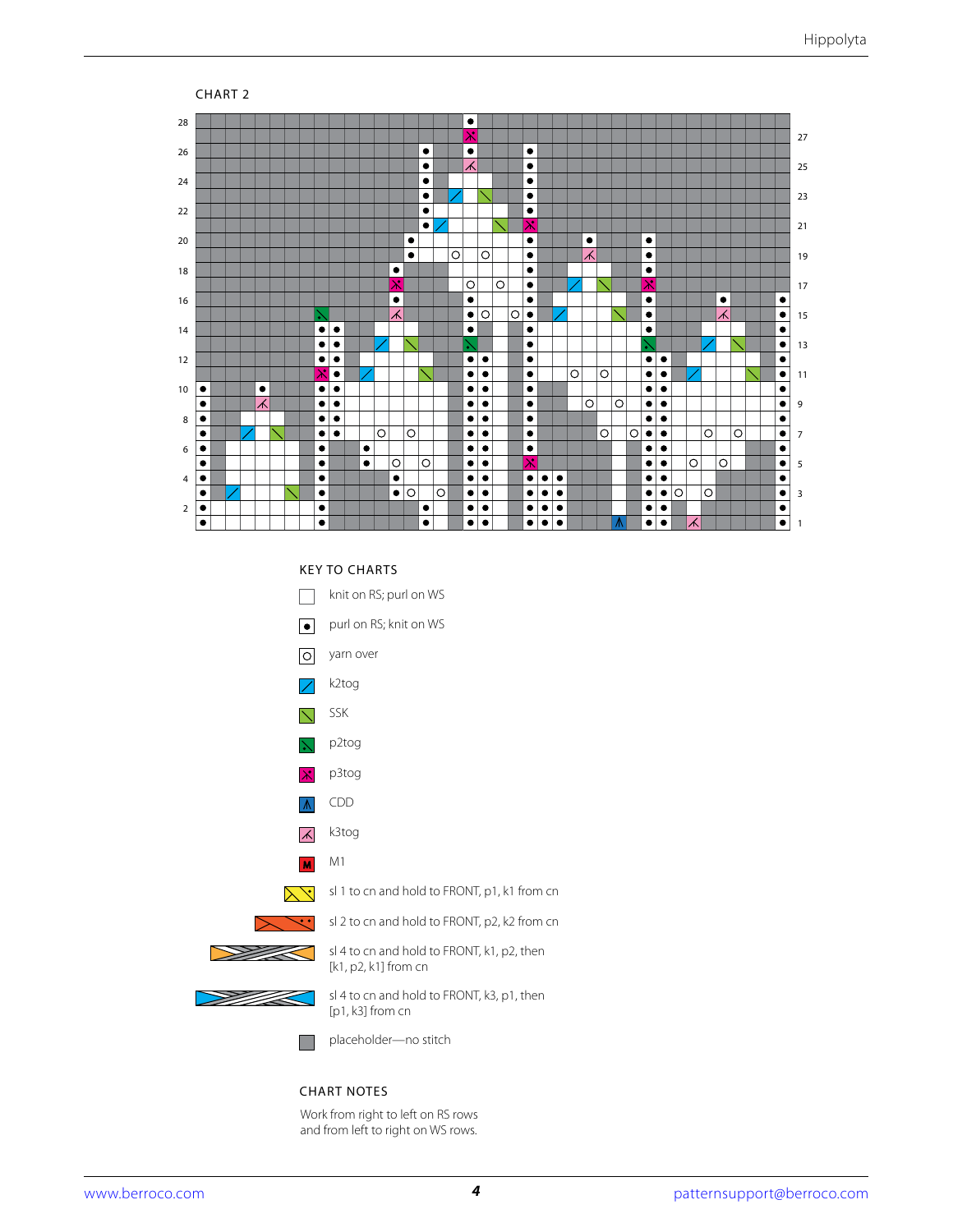

#### KEY TO CHARTS



#### CHART NOTES

Work from right to left on RS rows and from left to right on WS rows.